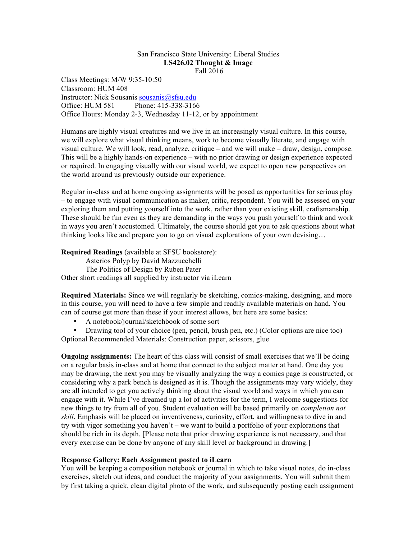### San Francisco State University: Liberal Studies **LS426.02 Thought & Image** Fall 2016

Class Meetings: M/W 9:35-10:50 Classroom: HUM 408 Instructor: Nick Sousanis sousanis@sfsu.edu Office: HUM 581 Phone: 415-338-3166 Office Hours: Monday 2-3, Wednesday 11-12, or by appointment

Humans are highly visual creatures and we live in an increasingly visual culture. In this course, we will explore what visual thinking means, work to become visually literate, and engage with visual culture. We will look, read, analyze, critique – and we will make – draw, design, compose. This will be a highly hands-on experience – with no prior drawing or design experience expected or required. In engaging visually with our visual world, we expect to open new perspectives on the world around us previously outside our experience.

Regular in-class and at home ongoing assignments will be posed as opportunities for serious play – to engage with visual communication as maker, critic, respondent. You will be assessed on your exploring them and putting yourself into the work, rather than your existing skill, craftsmanship. These should be fun even as they are demanding in the ways you push yourself to think and work in ways you aren't accustomed. Ultimately, the course should get you to ask questions about what thinking looks like and prepare you to go on visual explorations of your own devising…

**Required Readings** (available at SFSU bookstore):

Asterios Polyp by David Mazzucchelli The Politics of Design by Ruben Pater Other short readings all supplied by instructor via iLearn

**Required Materials:** Since we will regularly be sketching, comics-making, designing, and more in this course, you will need to have a few simple and readily available materials on hand. You can of course get more than these if your interest allows, but here are some basics:

• A notebook/journal/sketchbook of some sort

• Drawing tool of your choice (pen, pencil, brush pen, etc.) (Color options are nice too) Optional Recommended Materials: Construction paper, scissors, glue

**Ongoing assignments:** The heart of this class will consist of small exercises that we'll be doing on a regular basis in-class and at home that connect to the subject matter at hand. One day you may be drawing, the next you may be visually analyzing the way a comics page is constructed, or considering why a park bench is designed as it is. Though the assignments may vary widely, they are all intended to get you actively thinking about the visual world and ways in which you can engage with it. While I've dreamed up a lot of activities for the term, I welcome suggestions for new things to try from all of you. Student evaluation will be based primarily on *completion not skill*. Emphasis will be placed on inventiveness, curiosity, effort, and willingness to dive in and try with vigor something you haven't – we want to build a portfolio of your explorations that should be rich in its depth. [Please note that prior drawing experience is not necessary, and that every exercise can be done by anyone of any skill level or background in drawing.]

# **Response Gallery: Each Assignment posted to iLearn**

You will be keeping a composition notebook or journal in which to take visual notes, do in-class exercises, sketch out ideas, and conduct the majority of your assignments. You will submit them by first taking a quick, clean digital photo of the work, and subsequently posting each assignment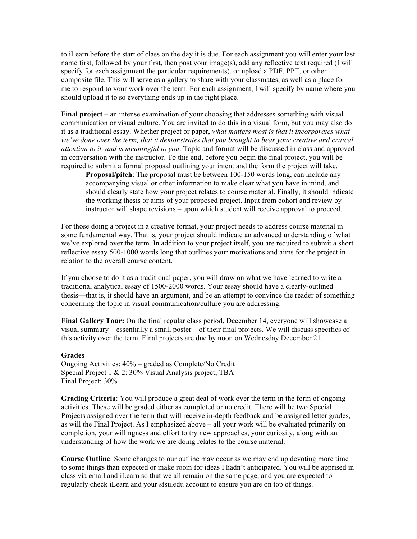to iLearn before the start of class on the day it is due. For each assignment you will enter your last name first, followed by your first, then post your image(s), add any reflective text required (I will specify for each assignment the particular requirements), or upload a PDF, PPT, or other composite file. This will serve as a gallery to share with your classmates, as well as a place for me to respond to your work over the term. For each assignment, I will specify by name where you should upload it to so everything ends up in the right place.

**Final project** – an intense examination of your choosing that addresses something with visual communication or visual culture. You are invited to do this in a visual form, but you may also do it as a traditional essay. Whether project or paper, *what matters most is that it incorporates what we've done over the term, that it demonstrates that you brought to bear your creative and critical attention to it, and is meaningful to you*. Topic and format will be discussed in class and approved in conversation with the instructor. To this end, before you begin the final project, you will be required to submit a formal proposal outlining your intent and the form the project will take.

**Proposal/pitch**: The proposal must be between 100-150 words long, can include any accompanying visual or other information to make clear what you have in mind, and should clearly state how your project relates to course material. Finally, it should indicate the working thesis or aims of your proposed project. Input from cohort and review by instructor will shape revisions – upon which student will receive approval to proceed.

For those doing a project in a creative format, your project needs to address course material in some fundamental way. That is, your project should indicate an advanced understanding of what we've explored over the term. In addition to your project itself, you are required to submit a short reflective essay 500-1000 words long that outlines your motivations and aims for the project in relation to the overall course content.

If you choose to do it as a traditional paper, you will draw on what we have learned to write a traditional analytical essay of 1500-2000 words. Your essay should have a clearly-outlined thesis—that is, it should have an argument, and be an attempt to convince the reader of something concerning the topic in visual communication/culture you are addressing.

**Final Gallery Tour:** On the final regular class period, December 14, everyone will showcase a visual summary – essentially a small poster – of their final projects. We will discuss specifics of this activity over the term. Final projects are due by noon on Wednesday December 21.

#### **Grades**

Ongoing Activities: 40% – graded as Complete/No Credit Special Project 1 & 2: 30% Visual Analysis project; TBA Final Project: 30%

**Grading Criteria**: You will produce a great deal of work over the term in the form of ongoing activities. These will be graded either as completed or no credit. There will be two Special Projects assigned over the term that will receive in-depth feedback and be assigned letter grades, as will the Final Project. As I emphasized above – all your work will be evaluated primarily on completion, your willingness and effort to try new approaches, your curiosity, along with an understanding of how the work we are doing relates to the course material.

**Course Outline**: Some changes to our outline may occur as we may end up devoting more time to some things than expected or make room for ideas I hadn't anticipated. You will be apprised in class via email and iLearn so that we all remain on the same page, and you are expected to regularly check iLearn and your sfsu.edu account to ensure you are on top of things.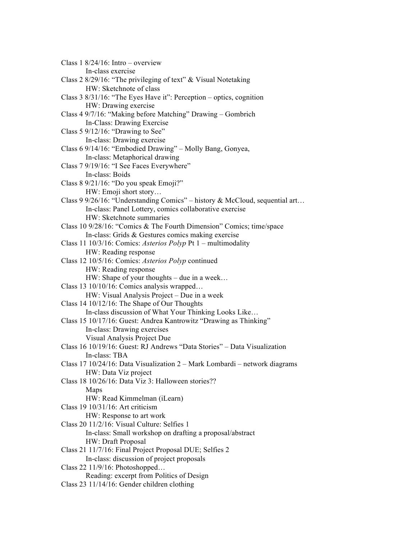Class  $1 \frac{8}{24}$ /16: Intro – overview In-class exercise Class 2 8/29/16: "The privileging of text" & Visual Notetaking HW: Sketchnote of class Class 3 8/31/16: "The Eyes Have it": Perception – optics, cognition HW: Drawing exercise Class 4 9/7/16: "Making before Matching" Drawing – Gombrich In-Class: Drawing Exercise Class 5 9/12/16: "Drawing to See" In-class: Drawing exercise Class 6 9/14/16: "Embodied Drawing" – Molly Bang, Gonyea, In-class: Metaphorical drawing Class 7 9/19/16: "I See Faces Everywhere" In-class: Boids Class 8 9/21/16: "Do you speak Emoji?" HW: Emoji short story… Class 9 9/26/16: "Understanding Comics" – history & McCloud, sequential art… In-class: Panel Lottery, comics collaborative exercise HW: Sketchnote summaries Class 10 9/28/16: "Comics & The Fourth Dimension" Comics; time/space In-class: Grids & Gestures comics making exercise Class 11 10/3/16: Comics: *Asterios Polyp* Pt 1 – multimodality HW: Reading response Class 12 10/5/16: Comics: *Asterios Polyp* continued HW: Reading response HW: Shape of your thoughts – due in a week… Class 13 10/10/16: Comics analysis wrapped… HW: Visual Analysis Project – Due in a week Class 14 10/12/16: The Shape of Our Thoughts In-class discussion of What Your Thinking Looks Like… Class 15 10/17/16: Guest: Andrea Kantrowitz "Drawing as Thinking" In-class: Drawing exercises Visual Analysis Project Due Class 16 10/19/16: Guest: RJ Andrews "Data Stories" – Data Visualization In-class: TBA Class 17 10/24/16: Data Visualization 2 – Mark Lombardi – network diagrams HW: Data Viz project Class 18 10/26/16: Data Viz 3: Halloween stories?? Maps HW: Read Kimmelman (iLearn) Class 19 10/31/16: Art criticism HW: Response to art work Class 20 11/2/16: Visual Culture: Selfies 1 In-class: Small workshop on drafting a proposal/abstract HW: Draft Proposal Class 21 11/7/16: Final Project Proposal DUE; Selfies 2 In-class: discussion of project proposals Class 22 11/9/16: Photoshopped… Reading: excerpt from Politics of Design Class 23 11/14/16: Gender children clothing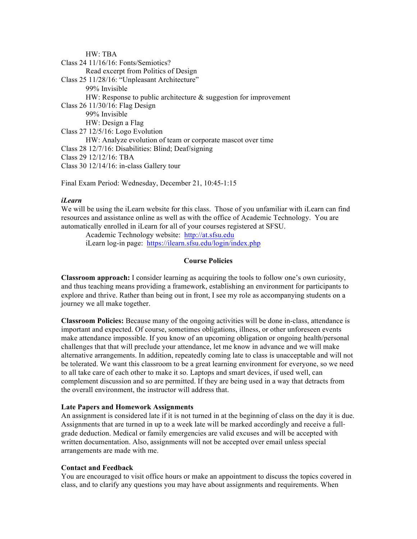HW: TBA Class 24 11/16/16: Fonts/Semiotics? Read excerpt from Politics of Design Class 25 11/28/16: "Unpleasant Architecture" 99% Invisible HW: Response to public architecture & suggestion for improvement Class 26 11/30/16: Flag Design 99% Invisible HW: Design a Flag Class 27 12/5/16: Logo Evolution HW: Analyze evolution of team or corporate mascot over time Class 28 12/7/16: Disabilities: Blind; Deaf/signing Class 29 12/12/16: TBA Class 30 12/14/16: in-class Gallery tour

Final Exam Period: Wednesday, December 21, 10:45-1:15

# *iLearn*

We will be using the iLearn website for this class. Those of you unfamiliar with iLearn can find resources and assistance online as well as with the office of Academic Technology. You are automatically enrolled in iLearn for all of your courses registered at SFSU.

Academic Technology website: http://at.sfsu.edu iLearn log-in page: https://ilearn.sfsu.edu/login/index.php

## **Course Policies**

**Classroom approach:** I consider learning as acquiring the tools to follow one's own curiosity, and thus teaching means providing a framework, establishing an environment for participants to explore and thrive. Rather than being out in front, I see my role as accompanying students on a journey we all make together.

**Classroom Policies:** Because many of the ongoing activities will be done in-class, attendance is important and expected. Of course, sometimes obligations, illness, or other unforeseen events make attendance impossible. If you know of an upcoming obligation or ongoing health/personal challenges that that will preclude your attendance, let me know in advance and we will make alternative arrangements. In addition, repeatedly coming late to class is unacceptable and will not be tolerated. We want this classroom to be a great learning environment for everyone, so we need to all take care of each other to make it so. Laptops and smart devices, if used well, can complement discussion and so are permitted. If they are being used in a way that detracts from the overall environment, the instructor will address that.

### **Late Papers and Homework Assignments**

An assignment is considered late if it is not turned in at the beginning of class on the day it is due. Assignments that are turned in up to a week late will be marked accordingly and receive a full‐ grade deduction. Medical or family emergencies are valid excuses and will be accepted with written documentation. Also, assignments will not be accepted over email unless special arrangements are made with me.

# **Contact and Feedback**

You are encouraged to visit office hours or make an appointment to discuss the topics covered in class, and to clarify any questions you may have about assignments and requirements. When